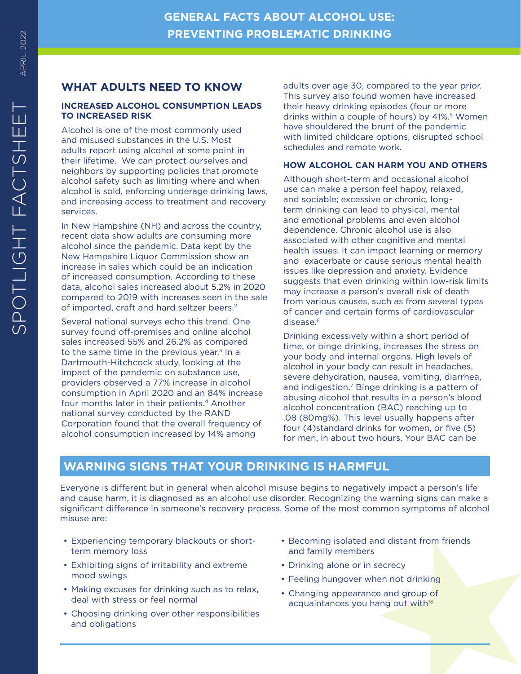# **WHAT ADULTS NEED TO KNOW**

## **INCREASED ALCOHOL CONSUMPTION LEADS TO INCREASED RISK**

Alcohol is one of the most commonly used and misused substances in the U.S. Most adults report using alcohol at some point in their lifetime. We can protect ourselves and neighbors by supporting policies that promote alcohol safety such as limiting where and when alcohol is sold, enforcing underage drinking laws, and increasing access to treatment and recovery services.

In New Hampshire (NH) and across the country, recent data show adults are consuming more alcohol since the pandemic. Data kept by the New Hampshire Liquor Commission show an increase in sales which could be an indication of increased consumption. According to these data, alcohol sales increased about 5.2% in 2020 compared to 2019 with increases seen in the sale of imported, craft and hard seltzer beers. 2

Several national surveys echo this trend. One survey found off-premises and online alcohol sales increased 55% and 26.2% as compared to the same time in the previous year. 3 In a Dartmouth-Hitchcock study, looking at the impact of the pandemic on substance use, providers observed a 77% increase in alcohol consumption in April 2020 and an 84% increase four months later in their patients. 4 Another national survey conducted by the RAND Corporation found that the overall frequency of alcohol consumption increased by 14% among

adults over age 30, compared to the year prior. This survey also found women have increased their heavy drinking episodes (four or more drinks within a couple of hours) by 41%. 5 Women have shouldered the brunt of the pandemic with limited childcare options, disrupted school schedules and remote work.

# **HOW ALCOHOL CAN HARM YOU AND OTHERS**

Although short-term and occasional alcohol use can make a person feel happy, relaxed, and sociable; excessive or chronic, longterm drinking can lead to physical, mental and emotional problems and even alcohol dependence. Chronic alcohol use is also associated with other cognitive and mental health issues. It can impact learning or memory and exacerbate or cause serious mental health issues like depression and anxiety. Evidence suggests that even drinking within low-risk limits may increase a person's overall risk of death from various causes, such as from several types of cancer and certain forms of cardiovascular disease. 6

Drinking excessively within a short period of time, or binge drinking, increases the stress on your body and internal organs. High levels of alcohol in your body can result in headaches, severe dehydration, nausea, vomiting, diarrhea, and indigestion. 7 Binge drinking is a pattern of abusing alcohol that results in a person's blood alcohol concentration (BAC) reaching up to .08 (80mg%). This level usually happens after four (4)standard drinks for women, or five (5) for men, in about two hours. Your BAC can be

# **WARNING SIGNS THAT YOUR DRINKING IS HARMFUL**

Everyone is different but in general when alcohol misuse begins to negatively impact a person's life and cause harm, it is diagnosed as an alcohol use disorder. Recognizing the warning signs can make a significant difference in someone's recovery process. Some of the most common symptoms of alcohol misuse are:

- Experiencing temporary blackouts or shortterm memory loss
- Exhibiting signs of irritability and extreme mood swings
- Making excuses for drinking such as to relax, deal with stress or feel normal
- Choosing drinking over other responsibilities and obligations
- Becoming isolated and distant from friends and family members
- Drinking alone or in secrecy
- Feeling hungover when not drinking
- Changing appearance and group of acquaintances you hang out with<sup>13</sup>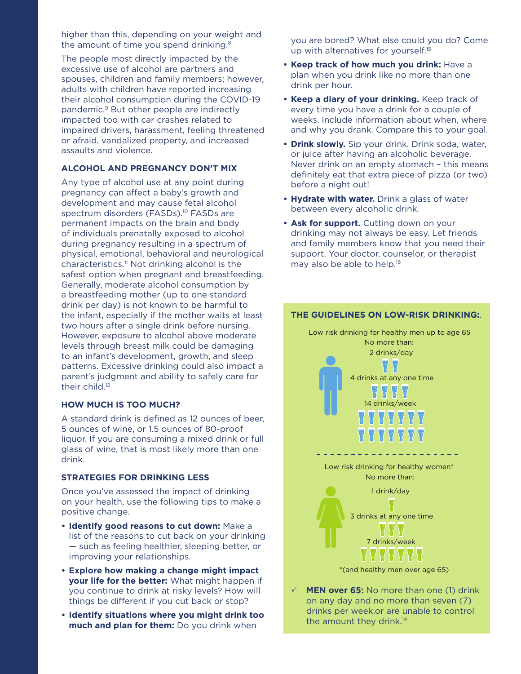higher than this, depending on your weight and the amount of time you spend drinking.<sup>8</sup>

The people most directly impacted by the excessive use of alcohol are partners and spouses, children and family members; however, adults with children have reported increasing their alcohol consumption during the COVID-19 pandemic.9 But other people are indirectly impacted too with car crashes related to impaired drivers, harassment, feeling threatened or afraid, vandalized property, and increased assaults and violence.

### **ALCOHOL AND PREGNANCY DON'T MIX**

Any type of alcohol use at any point during pregnancy can affect a baby's growth and development and may cause fetal alcohol spectrum disorders (FASDs).<sup>10</sup> FASDs are permanent impacts on the brain and body of individuals prenatally exposed to alcohol during pregnancy resulting in a spectrum of physical, emotional, behavioral and neurological characteristics.<sup>11</sup> Not drinking alcohol is the safest option when pregnant and breastfeeding. Generally, moderate alcohol consumption by a breastfeeding mother (up to one standard drink per day) is not known to be harmful to the infant, especially if the mother waits at least two hours after a single drink before nursing. However, exposure to alcohol above moderate levels through breast milk could be damaging to an infant's development, growth, and sleep patterns. Excessive drinking could also impact a parent's judgment and ability to safely care for their child.<sup>12</sup>

### **HOW MUCH IS TOO MUCH?**

A standard drink is defined as 12 ounces of beer, 5 ounces of wine, or 1.5 ounces of 80-proof liquor. If you are consuming a mixed drink or full glass of wine, that is most likely more than one drink.

#### **STRATEGIES FOR DRINKING LESS**

Once you've assessed the impact of drinking on your health, use the following tips to make a positive change.

- **• Identify good reasons to cut down:** Make a list of the reasons to cut back on your drinking — such as feeling healthier, sleeping better, or improving your relationships.
- **• Explore how making a change might impact your life for the better:** What might happen if you continue to drink at risky levels? How will things be different if you cut back or stop?
- **• Identify situations where you might drink too much and plan for them:** Do you drink when

you are bored? What else could you do? Come up with alternatives for yourself.<sup>15</sup>

- **• Keep track of how much you drink:** Have a plan when you drink like no more than one drink per hour.
- **• Keep a diary of your drinking.** Keep track of every time you have a drink for a couple of weeks. Include information about when, where and why you drank. Compare this to your goal.
- **• Drink slowly.** Sip your drink. Drink soda, water, or juice after having an alcoholic beverage. Never drink on an empty stomach – this means definitely eat that extra piece of pizza (or two) before a night out!
- **• Hydrate with water.** Drink a glass of water between every alcoholic drink.
- **• Ask for support.** Cutting down on your drinking may not always be easy. Let friends and family members know that you need their support. Your doctor, counselor, or therapist may also be able to help.16

## **THE GUIDELINES ON LOW-RISK DRINKING:**.

Low risk drinking for healthy men up to age 65 No more than: 2 drinks/day 4 drinks at any one time 14 drinks/week Low risk drinking for healthy women\* No more than: 1 drink/day 3 drinks at any one time 7 drinks/week \*(and healthy men over age 65)

**MEN over 65:** No more than one (1) drink on any day and no more than seven (7) drinks per week.or are unable to control the amount they drink.<sup>14</sup>